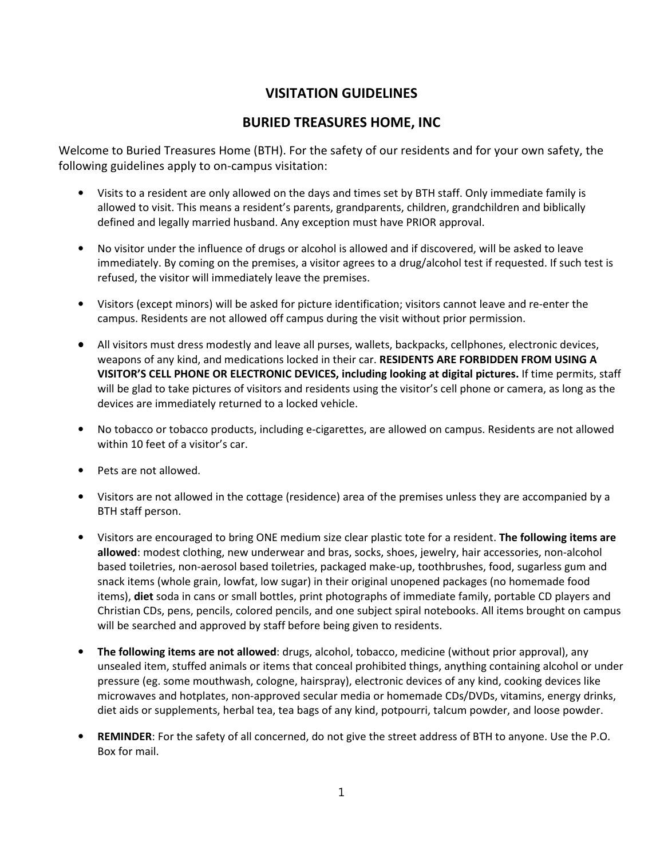## **VISITATION GUIDELINES**

## **BURIED TREASURES HOME, INC**

Welcome to Buried Treasures Home (BTH). For the safety of our residents and for your own safety, the following guidelines apply to on-campus visitation:

- Visits to a resident are only allowed on the days and times set by BTH staff. Only immediate family is allowed to visit. This means a resident's parents, grandparents, children, grandchildren and biblically defined and legally married husband. Any exception must have PRIOR approval.
- No visitor under the influence of drugs or alcohol is allowed and if discovered, will be asked to leave immediately. By coming on the premises, a visitor agrees to a drug/alcohol test if requested. If such test is refused, the visitor will immediately leave the premises.
- Visitors (except minors) will be asked for picture identification; visitors cannot leave and re-enter the campus. Residents are not allowed off campus during the visit without prior permission.
- All visitors must dress modestly and leave all purses, wallets, backpacks, cellphones, electronic devices, weapons of any kind, and medications locked in their car. **RESIDENTS ARE FORBIDDEN FROM USING A VISITOR'S CELL PHONE OR ELECTRONIC DEVICES, including looking at digital pictures.** If time permits, staff will be glad to take pictures of visitors and residents using the visitor's cell phone or camera, as long as the devices are immediately returned to a locked vehicle.
- No tobacco or tobacco products, including e-cigarettes, are allowed on campus. Residents are not allowed within 10 feet of a visitor's car.
- Pets are not allowed.
- Visitors are not allowed in the cottage (residence) area of the premises unless they are accompanied by a BTH staff person.
- Visitors are encouraged to bring ONE medium size clear plastic tote for a resident. **The following items are allowed**: modest clothing, new underwear and bras, socks, shoes, jewelry, hair accessories, non-alcohol based toiletries, non-aerosol based toiletries, packaged make-up, toothbrushes, food, sugarless gum and snack items (whole grain, lowfat, low sugar) in their original unopened packages (no homemade food items), **diet** soda in cans or small bottles, print photographs of immediate family, portable CD players and Christian CDs, pens, pencils, colored pencils, and one subject spiral notebooks. All items brought on campus will be searched and approved by staff before being given to residents.
- **The following items are not allowed**: drugs, alcohol, tobacco, medicine (without prior approval), any unsealed item, stuffed animals or items that conceal prohibited things, anything containing alcohol or under pressure (eg. some mouthwash, cologne, hairspray), electronic devices of any kind, cooking devices like microwaves and hotplates, non-approved secular media or homemade CDs/DVDs, vitamins, energy drinks, diet aids or supplements, herbal tea, tea bags of any kind, potpourri, talcum powder, and loose powder.
- **REMINDER**: For the safety of all concerned, do not give the street address of BTH to anyone. Use the P.O. Box for mail.